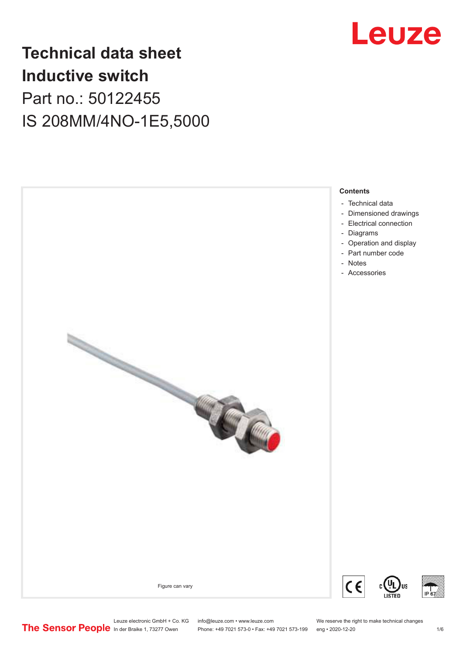

# **Technical data sheet Inductive switch** Part no.: 50122455 IS 208MM/4NO-1E5,5000



Leuze electronic GmbH + Co. KG info@leuze.com • www.leuze.com We reserve the right to make technical changes<br>
The Sensor People in der Braike 1, 73277 Owen Phone: +49 7021 573-0 • Fax: +49 7021 573-199 eng • 2020-12-20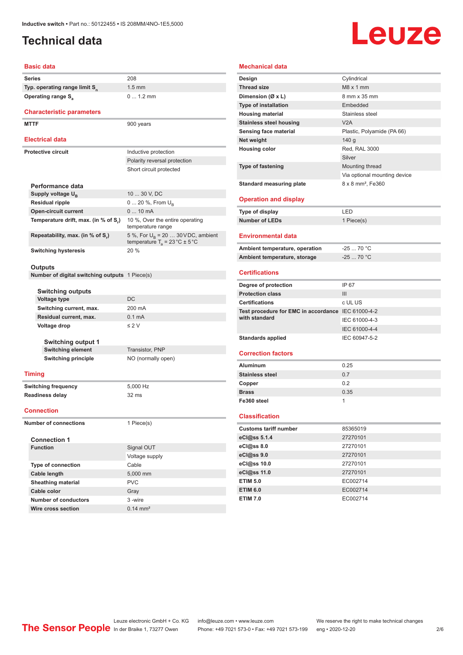# <span id="page-1-0"></span>**Technical data**

# Leuze

#### **Basic data**

| <b>Series</b>                             | 208 |
|-------------------------------------------|-----|
| Typ. operating range limit S <sub>n</sub> | 1.5 |
| <b>Operating range S<sub>a</sub></b>      |     |

#### **Characteristic parameters**

MTTF 900 years

#### **Electrical data**

| Electrical data                      |                                                                                           |  |  |
|--------------------------------------|-------------------------------------------------------------------------------------------|--|--|
| <b>Protective circuit</b>            | Inductive protection                                                                      |  |  |
|                                      | Polarity reversal protection                                                              |  |  |
|                                      | Short circuit protected                                                                   |  |  |
| Performance data                     |                                                                                           |  |  |
| Supply voltage $U_{\rm B}$           | 10  30 V, DC                                                                              |  |  |
| <b>Residual ripple</b>               | $0 20 \%$ , From $U_{\rm B}$                                                              |  |  |
| <b>Open-circuit current</b>          | $010$ mA                                                                                  |  |  |
| Temperature drift, max. (in % of S.) | 10 %, Over the entire operating<br>temperature range                                      |  |  |
| Repeatability, max. (in % of S.)     | 5 %, For $U_R$ = 20  30 V DC, ambient<br>temperature $T_a = 23 \degree C \pm 5 \degree C$ |  |  |
| <b>Switching hysteresis</b>          | 20%                                                                                       |  |  |

**Switching current, max.** 200 mA

1.5 mm

0 ... 1.2 mm

#### **Outputs**

**Number of digital switching outputs** 1 Piece(s)

**Residual current, max.** 0.1 mA **Voltage drop** ≤ 2 V

| <b>Switching outputs</b> |     |
|--------------------------|-----|
| Voltage type             | DC  |
| Switching current, max.  | 200 |

**Switching output 1 Switching element** Transistor, PNP **Switching principle** NO (normally open)

#### **Timing**

**Switching frequency** 5,000 Hz **Readiness delay** 32 ms

#### **Connection**

**Number of connections** 1 Piece(s)

| <b>Connection 1</b>       |                     |  |  |
|---------------------------|---------------------|--|--|
| <b>Function</b>           | Signal OUT          |  |  |
|                           | Voltage supply      |  |  |
| <b>Type of connection</b> | Cable               |  |  |
| Cable length              | 5,000 mm            |  |  |
| <b>Sheathing material</b> | <b>PVC</b>          |  |  |
| Cable color               | Gray                |  |  |
| Number of conductors      | 3-wire              |  |  |
| Wire cross section        | $0.14 \text{ mm}^2$ |  |  |

### **Mechanical data Design** Cylindrical **Thread size** M8 x 1 mm **Dimension (Ø x L)** 8 mm x 35 mm **Type of installation** Embedded **Housing material** Stainless steel **Stainless steel housing WA V2A Sensing face material** Plastic, Polyamide (PA 66) **Net weight** 140 g **Housing color** Red, RAL 3000 Silver **Type of fastening** Mounting thread Via optional mounting device **Standard measuring plate** 8 x 8 mm<sup>2</sup>, Fe360 **Operation and display Type of display** LED **Number of LEDs** 1 Piece(s) **Environmental data** Ambient temperature, operation -25 ... 70 °C **Ambient temperature, storage** -25 ... 70 °C **Certifications Degree of protection** IP 67 **Protection class** III **Certifications** c UL US **Test procedure for EMC in accordance**  IEC 61000-4-2 **with standard** IEC 61000-4-3 IEC 61000-4-4 Standards applied<br>
IEC 60947-5-2 **Correction factors Aluminum** 0.25 **Stainless steel** 0.7 **Copper** 0.2 **Brass** 0.35 **Fe360 steel** 1 **Classification**

| <b>Customs tariff number</b> | 85365019 |
|------------------------------|----------|
| eCl@ss 5.1.4                 | 27270101 |
| eCl@ss 8.0                   | 27270101 |
| eCl@ss 9.0                   | 27270101 |
| eCl@ss 10.0                  | 27270101 |
| eCl@ss 11.0                  | 27270101 |
| <b>ETIM 5.0</b>              | EC002714 |
| <b>ETIM 6.0</b>              | EC002714 |
| <b>ETIM 7.0</b>              | EC002714 |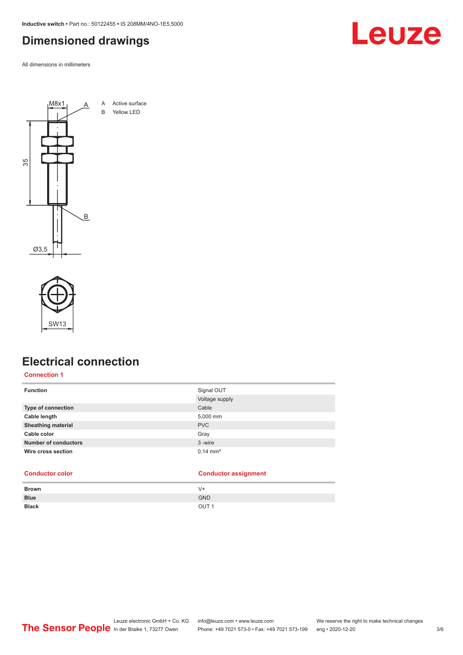<span id="page-2-0"></span>**Inductive switch •** Part no.: 50122455 **•** IS 208MM/4NO-1E5,5000

# **Dimensioned drawings**

All dimensions in millimeters





# **Electrical connection**

#### **Connection 1**

| Signal OUT            |
|-----------------------|
| Voltage supply        |
| Cable                 |
| 5,000 mm              |
| <b>PVC</b>            |
| Gray                  |
| 3-wire                |
| $0.14 \, \text{mm}^2$ |
|                       |

| <b>Conductor color</b> | <b>Conductor assignment</b> |
|------------------------|-----------------------------|
|------------------------|-----------------------------|

| <b>Brown</b> | $V +$            |
|--------------|------------------|
| <b>Blue</b>  | <b>GND</b>       |
| <b>Black</b> | OUT <sub>1</sub> |

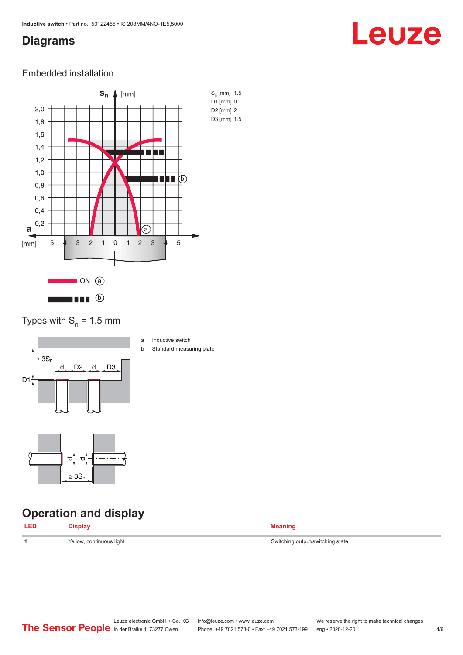## <span id="page-3-0"></span>**Diagrams**

# Leuze

### Embedded installation



Types with  $S_n = 1.5$  mm



- a Inductive switch
- b Standard measuring plate

# **Operation and display**

ರ

≥ 3S<sup>n</sup>

ರ∥



**1 1** Switching output/switching state Switching output/switching state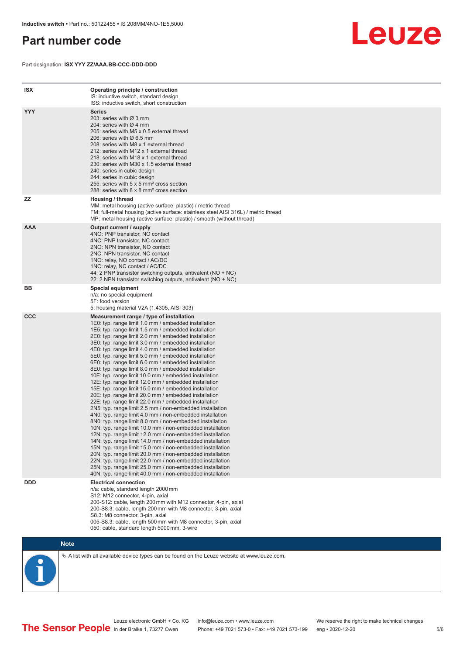# <span id="page-4-0"></span>**Part number code**

Part designation: **ISX YYY ZZ/AAA.BB-CCC-DDD-DDD**



| <b>ISX</b> | Operating principle / construction<br>IS: inductive switch, standard design<br>ISS: inductive switch, short construction                                                                                                                                                                                                                                                                                                                                                                                                                                                                                                                                                                                                                                                                                                                                                                                                                                                                                                                                                                                                                                                                                                                                                                                                                                                                                                                                                                          |
|------------|---------------------------------------------------------------------------------------------------------------------------------------------------------------------------------------------------------------------------------------------------------------------------------------------------------------------------------------------------------------------------------------------------------------------------------------------------------------------------------------------------------------------------------------------------------------------------------------------------------------------------------------------------------------------------------------------------------------------------------------------------------------------------------------------------------------------------------------------------------------------------------------------------------------------------------------------------------------------------------------------------------------------------------------------------------------------------------------------------------------------------------------------------------------------------------------------------------------------------------------------------------------------------------------------------------------------------------------------------------------------------------------------------------------------------------------------------------------------------------------------------|
| <b>YYY</b> | <b>Series</b><br>203: series with $\varnothing$ 3 mm<br>204: series with Ø 4 mm<br>205: series with M5 x 0.5 external thread<br>206: series with Ø 6.5 mm<br>208: series with M8 x 1 external thread<br>212: series with M12 x 1 external thread<br>218: series with M18 x 1 external thread<br>230: series with M30 x 1.5 external thread<br>240: series in cubic design<br>244: series in cubic design<br>255: series with 5 x 5 mm <sup>2</sup> cross section<br>288: series with 8 x 8 mm <sup>2</sup> cross section                                                                                                                                                                                                                                                                                                                                                                                                                                                                                                                                                                                                                                                                                                                                                                                                                                                                                                                                                                          |
| <b>ZZ</b>  | Housing / thread<br>MM: metal housing (active surface: plastic) / metric thread<br>FM: full-metal housing (active surface: stainless steel AISI 316L) / metric thread<br>MP: metal housing (active surface: plastic) / smooth (without thread)                                                                                                                                                                                                                                                                                                                                                                                                                                                                                                                                                                                                                                                                                                                                                                                                                                                                                                                                                                                                                                                                                                                                                                                                                                                    |
| <b>AAA</b> | Output current / supply<br>4NO: PNP transistor, NO contact<br>4NC: PNP transistor, NC contact<br>2NO: NPN transistor, NO contact<br>2NC: NPN transistor, NC contact<br>1NO: relay, NO contact / AC/DC<br>1NC: relay, NC contact / AC/DC<br>44: 2 PNP transistor switching outputs, antivalent (NO + NC)<br>22: 2 NPN transistor switching outputs, antivalent (NO + NC)                                                                                                                                                                                                                                                                                                                                                                                                                                                                                                                                                                                                                                                                                                                                                                                                                                                                                                                                                                                                                                                                                                                           |
| ВB         | Special equipment<br>n/a: no special equipment<br>5F: food version<br>5: housing material V2A (1.4305, AISI 303)                                                                                                                                                                                                                                                                                                                                                                                                                                                                                                                                                                                                                                                                                                                                                                                                                                                                                                                                                                                                                                                                                                                                                                                                                                                                                                                                                                                  |
| <b>CCC</b> | Measurement range / type of installation<br>1E0: typ. range limit 1.0 mm / embedded installation<br>1E5: typ. range limit 1.5 mm / embedded installation<br>2E0: typ. range limit 2.0 mm / embedded installation<br>3E0: typ. range limit 3.0 mm / embedded installation<br>4E0: typ. range limit 4.0 mm / embedded installation<br>5E0: typ. range limit 5.0 mm / embedded installation<br>6E0: typ. range limit 6.0 mm / embedded installation<br>8E0: typ. range limit 8.0 mm / embedded installation<br>10E: typ. range limit 10.0 mm / embedded installation<br>12E: typ. range limit 12.0 mm / embedded installation<br>15E: typ. range limit 15.0 mm / embedded installation<br>20E: typ. range limit 20.0 mm / embedded installation<br>22E: typ. range limit 22.0 mm / embedded installation<br>2N5: typ. range limit 2.5 mm / non-embedded installation<br>4N0: typ. range limit 4.0 mm / non-embedded installation<br>8N0: typ. range limit 8.0 mm / non-embedded installation<br>10N: typ. range limit 10.0 mm / non-embedded installation<br>12N: typ. range limit 12.0 mm / non-embedded installation<br>14N: typ. range limit 14.0 mm / non-embedded installation<br>15N: typ. range limit 15.0 mm / non-embedded installation<br>20N: typ. range limit 20.0 mm / non-embedded installation<br>22N: typ. range limit 22.0 mm / non-embedded installation<br>25N: typ. range limit 25.0 mm / non-embedded installation<br>40N: typ. range limit 40.0 mm / non-embedded installation |
| <b>DDD</b> | <b>Electrical connection</b><br>n/a: cable, standard length 2000 mm<br>S12: M12 connector, 4-pin, axial<br>200-S12: cable, length 200 mm with M12 connector, 4-pin, axial<br>200-S8.3: cable, length 200 mm with M8 connector, 3-pin, axial<br>S8.3: M8 connector, 3-pin, axial<br>005-S8.3: cable, length 500 mm with M8 connector, 3-pin, axial<br>050: cable, standard length 5000 mm, 3-wire                                                                                                                                                                                                                                                                                                                                                                                                                                                                                                                                                                                                                                                                                                                                                                                                                                                                                                                                                                                                                                                                                                  |



 $\%$  A list with all available device types can be found on the Leuze website at www.leuze.com.

Leuze electronic GmbH + Co. KG info@leuze.com • www.leuze.com We reserve the right to make technical changes In der Braike 1, 73277 Owen Phone: +49 7021 573-0 • Fax: +49 7021 573-199 eng • 2020-12-20